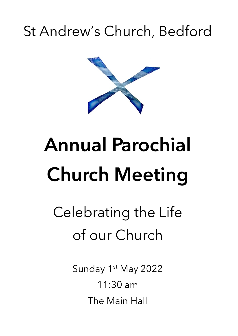# St Andrew's Church, Bedford



# **Annual Parochial Church Meeting**

Celebrating the Life of our Church

> Sunday 1<sup>st</sup> May 2022 11:30 am The Main Hall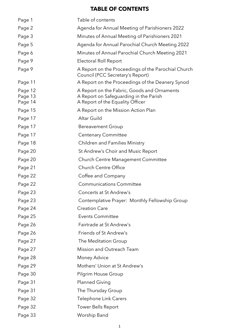# **TABLE OF CONTENTS**

| Page 1                        | Table of contents                                                                                                         |
|-------------------------------|---------------------------------------------------------------------------------------------------------------------------|
| Page 2                        | Agenda for Annual Meeting of Parishioners 2022                                                                            |
| Page 3                        | Minutes of Annual Meeting of Parishioners 2021                                                                            |
| Page 5                        | Agenda for Annual Parochial Church Meeting 2022                                                                           |
| Page 6                        | Minutes of Annual Parochial Church Meeting 2021                                                                           |
| Page 9                        | Electoral Roll Report                                                                                                     |
| Page 9                        | A Report on the Proceedings of the Parochial Church<br>Council (PCC Secretary's Report)                                   |
| Page 11                       | A Report on the Proceedings of the Deanery Synod                                                                          |
| Page 12<br>Page 13<br>Page 14 | A Report on the Fabric, Goods and Ornaments<br>A Report on Safeguarding in the Parish<br>A Report of the Equality Officer |
| Page 15                       | A Report on the Mission Action Plan                                                                                       |
| Page 17                       | Altar Guild                                                                                                               |
| Page 17                       | <b>Bereavement Group</b>                                                                                                  |
| Page 17                       | <b>Centenary Committee</b>                                                                                                |
| Page 18                       | <b>Children and Families Ministry</b>                                                                                     |
| Page 20                       | St Andrew's Choir and Music Report                                                                                        |
| Page 20                       | <b>Church Centre Management Committee</b>                                                                                 |
| Page 21                       | <b>Church Centre Office</b>                                                                                               |
| Page 22                       | Coffee and Company                                                                                                        |
| Page 22                       | <b>Communications Committee</b>                                                                                           |
| Page 23                       | Concerts at St Andrew's                                                                                                   |
| Page 23                       | Contemplative Prayer: Monthly Fellowship Group                                                                            |
| Page 24                       | <b>Creation Care</b>                                                                                                      |
| Page 25                       | <b>Events Committee</b>                                                                                                   |
| Page 26                       | Fairtrade at St Andrew's                                                                                                  |
| Page 26                       | Friends of St Andrew's                                                                                                    |
| Page 27                       | The Meditation Group                                                                                                      |
| Page 27                       | Mission and Outreach Team                                                                                                 |
| Page 28                       | Money Advice                                                                                                              |
| Page 29                       | Mothers' Union at St Andrew's                                                                                             |
| Page 30                       | Pilgrim House Group                                                                                                       |
| Page 31                       | <b>Planned Giving</b>                                                                                                     |
| Page 31                       | The Thursday Group                                                                                                        |
| Page 32                       | Telephone Link Carers                                                                                                     |
| Page 32                       | Tower Bells Report                                                                                                        |
| Page 33                       | Worship Band                                                                                                              |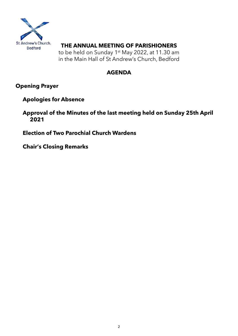

## **THE ANNUAL MEETING OF PARISHIONERS**

to be held on Sunday 1<sup>st</sup> May 2022, at 11.30 am in the Main Hall of St Andrew's Church, Bedford

# **AGENDA**

# **Opening Prayer**

**Apologies for Absence**

**Approval of the Minutes of the last meeting held on Sunday 25th April 2021**

**Election of Two Parochial Church Wardens**

**Chair's Closing Remarks**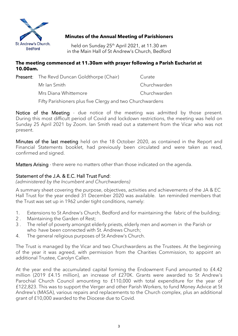

#### **Minutes of the Annual Meeting of Parishioners**

held on Sunday 25<sup>th</sup> April 2021, at 11.30 am in the Main Hall of St Andrew's Church, Bedford

#### **The meeting commenced at 11.30am with prayer following a Parish Eucharist at 10.00am.**

| <b>Present:</b> The Revd Duncan Goldthorpe (Chair)        | Curate       |
|-----------------------------------------------------------|--------------|
| Mr Ian Smith                                              | Churchwarden |
| Mrs Diana Whittemore                                      | Churchwarden |
| Fifty Parishioners plus five Clergy and two Churchwardens |              |

Notice of the Meeting - due notice of the meeting was admitted by those present. During this most difficult period of Covid and lockdown restrictions, the meeting was held on Sunday 25 April 2021 by Zoom. Ian Smith read out a statement from the Vicar who was not present.

Minutes of the last meeting held on the 18 October 2020, as contained in the Report and Financial Statements booklet, had previously been circulated and were taken as read, confirmed and signed.

Matters Arising - there were no matters other than those indicated on the agenda.

#### Statement of the J.A. & E.C. Hall Trust Fund:

*(administered by the Incumbent and Churchwardens)*

A summary sheet covering the purpose, objectives, activities and achievements of the JA & EC Hall Trust for the year ended 31 December 2020 was available. Ian reminded members that the Trust was set up in 1962 under tight conditions, namely:

- 1. Extensions to St Andrew's Church, Bedford and for maintaining the fabric of the building;
- 2 . Maintaining the Garden of Rest;
- 3 . The relief of poverty amongst elderly priests, elderly men and women in the Parish or who have been connected with St. Andrews Church;
- 4. The general religious purposes of St Andrew's Church.

The Trust is managed by the Vicar and two Churchwardens as the Trustees. At the beginning of the year it was agreed, with permission from the Charities Commission, to appoint an additional Trustee, Carolyn Callen.

At the year end the accumulated capital forming the Endowment Fund amounted to £4.42 million (2019 £4.15 million), an increase of £270K. Grants were awarded to St Andrew's Parochial Church Council amounting to £110,000 with total expenditure for the year of £122,823. This was to support the Verger and other Parish Workers, to fund Money Advice at St Andrew's (MASA), various repairs and replacements to the Church complex, plus an additional grant of £10,000 awarded to the Diocese due to Covid.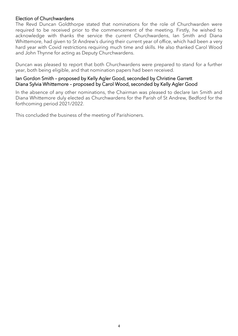#### Election of Churchwardens

The Revd Duncan Goldthorpe stated that nominations for the role of Churchwarden were required to be received prior to the commencement of the meeting. Firstly, he wished to acknowledge with thanks the service the current Churchwardens, Ian Smith and Diana Whittemore, had given to St Andrew's during their current year of office, which had been a very hard year with Covid restrictions requiring much time and skills. He also thanked Carol Wood and John Thynne for acting as Deputy Churchwardens.

Duncan was pleased to report that both Churchwardens were prepared to stand for a further year, both being eligible, and that nomination papers had been received.

#### Ian Gordon Smith – proposed by Kelly Agler Good, seconded by Christine Garrett Diana Sylvia Whittemore – proposed by Carol Wood, seconded by Kelly Agler Good

In the absence of any other nominations, the Chairman was pleased to declare Ian Smith and Diana Whittemore duly elected as Churchwardens for the Parish of St Andrew, Bedford for the forthcoming period 2021/2022.

This concluded the business of the meeting of Parishioners.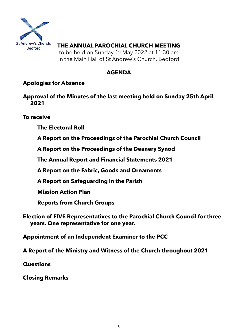

# **THE ANNUAL PAROCHIAL CHURCH MEETING**

to be held on Sunday 1<sup>st</sup> May 2022 at 11.30 am in the Main Hall of St Andrew's Church, Bedford

# **AGENDA**

# **Apologies for Absence**

**Approval of the Minutes of the last meeting held on Sunday 25th April 2021**

**To receive**

**The Electoral Roll**

**A Report on the Proceedings of the Parochial Church Council**

**A Report on the Proceedings of the Deanery Synod**

**The Annual Report and Financial Statements 2021**

**A Report on the Fabric, Goods and Ornaments**

**A Report on Safeguarding in the Parish**

**Mission Action Plan**

**Reports from Church Groups**

**Election of FIVE Representatives to the Parochial Church Council for three years. One representative for one year.**

**Appointment of an Independent Examiner to the PCC**

**A Report of the Ministry and Witness of the Church throughout 2021**

**Questions**

**Closing Remarks**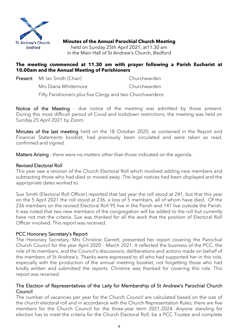

**Minutes of the Annual Parochial Church Meeting**

held on Sunday 25th April 2021, at11.30 am in the Main Hall of St Andrew's Church, Bedford

#### **The meeting commenced at 11.30 am with prayer following a Parish Eucharist at 10.00am and the Annual Meeting of Parishioners**

| <b>Present:</b> Mr Ian Smith (Chair)                      | Churchwarden |
|-----------------------------------------------------------|--------------|
| Mrs Diana Whittemore                                      | Churchwarden |
| Fifty Parishioners plus five Clergy and two Churchwardens |              |

Notice of the Meeting - due notice of the meeting was admitted by those present. During this most difficult period of Covid and lockdown restrictions, the meeting was held on Sunday 25 April 2021 by Zoom.

Minutes of the last meeting held on the 18 October 2020, as contained in the Report and Financial Statements booklet, had previously been circulated and were taken as read, confirmed and signed.

Matters Arising - there were no matters other than those indicated on the agenda.

#### Revised Electoral Roll

This year saw a revision of the Church Electoral Roll which involved adding new members and subtracting those who had died or moved away. The legal notices had been displayed and the appropriate dates worked to.

Sue Smith (Electoral Roll Officer) reported that last year the roll stood at 241, but that this year on the 5 April 2021 the roll stood at 236, a loss of 5 members, all of whom have died. Of the 236 members on the revised Electoral Roll 95 live in the Parish and 141 live outside the Parish. It was noted that two new members of the congregation will be added to the roll but currently have not met the criteria. Sue was thanked for all the work that the position of Electoral Roll Officer involved. This report was received.

#### PCC Honorary Secretary's Report

The Honorary Secretary, Mrs Christine Garrett, presented her report covering the Parochial Church Council for the year April 2020 - March 2021. It reflected the business of the PCC, the role of its members, and the Council's discussions, deliberations and actions made on behalf of the members of St Andrew's. Thanks were expressed to all who had supported her in this role, especially with the production of the annual meeting booklet, not forgetting those who had kindly written and submitted the reports. Christine was thanked for covering this role. This report was received.

#### The Election of Representatives of the Laity for Membership of St Andrew's Parochial Church Council

The number of vacancies per year for the Church Council are calculated based on the size of the church electoral roll and in accordance with the Church Representation Rules; there are five members for the Church Council for the three-year term 2021-2024. Anyone standing for election has to meet the criteria for the Church Electoral Roll, be a PCC Trustee and complete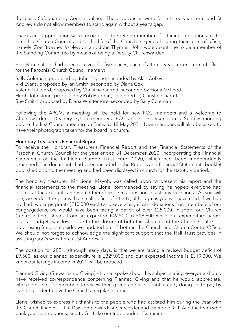the basic Safeguarding Course online. These vacancies were for a three-year term and St Andrew's do not allow members to stand again without a year's gap.

Thanks and appreciation were recorded to the retiring members for their contributions to the Parochial Church Council and to the life of the Church in general during their term of office, namely: Zoe Browne, Jo Newton and John Thynne. John would continue to be a member of the Standing Committee by means of being a Deputy Churchwarden.

Five Nominations had been received for five places, each of a three-year current term of office, for the Parochial Church Council, namely:

Sally Coleman, proposed by John Thynne, seconded by Alan Colley Viki Evans, proposed by Ian Smith, seconded by Diana Cox Valerie Littleford, proposed by Christine Garrett, seconded by Fiona McLeod Hugh Johnstone, proposed by Rob Huddart, seconded by Christine Garrett Sue Smith, proposed by Diana Whittemore, seconded by Sally Coleman

Following the APCM, a meeting will be held for new PCC members and a welcome to Churchwardens, Deanery Synod members, PCC and sidespersons on a Sunday morning before the first Council meeting on Tuesday 18 May 2021. New members will also be asked to have their photograph taken for the board in church.

#### Honorary Treasurer's Financial Report

To receive the Honorary Treasurer's Financial Report and the Financial Statements of the Parochial Church Council for the year ended 31 December 2020, incorporating the Financial Statements of the Kathleen Plumbe Trust Fund 2020, which had been independently examined. The documents had been included in the Reports and Financial Statements booklet published prior to the meeting and had been displayed in church for the statutory period.

The honorary treasurer, Mr Lionel Mayoh, was called upon to present his report and the financial statements to the meeting. Lionel commenced by saying he hoped everyone had looked at the accounts and would therefore be in a position to ask any questions. As you will see, we ended the year with a small deficit of £1,347, although as you will have read, if we had not had two large grants (£10,000 each) and several significant donations from members of our congregations, we would have been facing a deficit of over £25,000. In short, our Church Centre lettings shrank from an expected £49,500 to £18,600 while our expenditure across several budgets was lower due to the closure of both the Church and the Church Centre. To note, using funds set aside, we updated our IT both in the Church and Church Centre Office. We should not forget to acknowledge the significant support that the Hall Trust provides in assisting God's work here at St Andrew's.

The position for 2021, although early days, is that we are facing a revised budget deficit of £9,500, as our planned expenditure is £329,000 and our expected income is £319,000. We know our lettings income in 2021 will be reduced.

Planned Giving (Stewardship Giving) – Lionel spoke about this subject stating everyone should have received correspondence concerning Planned Giving and that he would appreciate, where possible, for members to review their giving and also, if not already doing so, to pay by standing order to give the Church a regular income.

Lionel wished to express his thanks to the people who had assisted him during the year with the Church finances – Jim Dawson Stewardship, Recorder and claimer of Gift Aid, the team who bank your contributions, and to Gill Lake our Independent Examiner.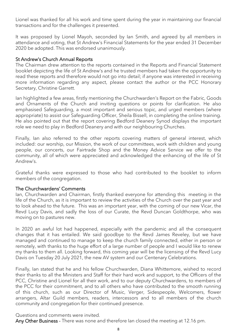Lionel was thanked for all his work and time spent during the year in maintaining our financial transactions and for the challenges it presented.

It was proposed by Lionel Mayoh, seconded by Ian Smith, and agreed by all members in attendance and voting, that St Andrew's Financial Statements for the year ended 31 December 2020 be adopted. This was endorsed unanimously.

#### St Andrew's Church Annual Reports

The Chairman drew attention to the reports contained in the Reports and Financial Statement booklet depicting the life of St Andrew's and he trusted members had taken the opportunity to read these reports and therefore would not go into detail; if anyone was interested in receiving more information regarding any aspect, please contact the author or the PCC Honorary Secretary, Christine Garrett.

Ian highlighted a few areas, firstly mentioning the Churchwarden's Report on the Fabric, Goods and Ornaments of the Church and inviting questions or points for clarification. He also emphasised Safeguarding, a most important and serious topic, and urged members (where appropriate) to assist our Safeguarding Officer, Sheila Bissell, in completing the online training. He also pointed out that the report covering Bedford Deanery Synod displays the important role we need to play in Bedford Deanery and with our neighbouring Churches.

Finally, Ian also referred to the other reports covering matters of general interest, which included: our worship, our Mission, the work of our committees, work with children and young people, our concerts, our Fairtrade Shop and the Money Advice Service we offer to the community, all of which were appreciated and acknowledged the enhancing of the life of St Andrew's.

Grateful thanks were expressed to those who had contributed to the booklet to inform members of the congregation.

#### The Churchwardens' Comments

Ian, Churchwarden and Chairman, firstly thanked everyone for attending this meeting in the life of the Church, as it is important to review the activities of the Church over the past year and to look ahead to the future. This was an important year, with the coming of our new Vicar, the Revd Lucy Davis, and sadly the loss of our Curate, the Revd Duncan Goldthorpe, who was moving on to pastures new.

In 2020 an awful lot had happened, especially with the pandemic and all the consequent changes that it has entailed. We said goodbye to the Revd James Reveley, but we have managed and continued to manage to keep the church family connected, either in person or remotely, with thanks to the huge effort of a large number of people and I would like to renew my thanks to them all. Looking forward, this coming year will be the licensing of the Revd Lucy Davis on Tuesday 20 July 2021, the new AV system and our Centenary Celebrations.

Finally, Ian stated that he and his fellow Churchwarden, Diana Whittemore, wished to record their thanks to all the Ministers and Staff for their hard work and support, to the Officers of the PCC, Christine and Lionel for all their work, and to our deputy Churchwardens, to members of the PCC for their commitment, and to all others who have contributed to the smooth running of this church, such as our Director of Music, Verger, Sidespeople, Welcomers, flower arrangers, Altar Guild members, readers, intercessors and to all members of the church community and congregation for their continued presence.

Questions and comments were invited.

Any Other Business - There was none and therefore Ian closed the meeting at 12.16 pm.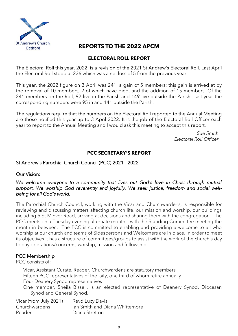

### **REPORTS TO THE 2022 APCM**

#### **ELECTORAL ROLL REPORT**

The Electoral Roll this year, 2022, is a revision of the 2021 St Andrew's Electoral Roll. Last April the Electoral Roll stood at 236 which was a net loss of 5 from the previous year.

This year, the 2022 figure on 3 April was 241, a gain of 5 members; this gain is arrived at by the removal of 10 members, 2 of which have died, and the addition of 15 members. Of the 241 members on the Roll, 92 live in the Parish and 149 live outside the Parish. Last year the corresponding numbers were 95 in and 141 outside the Parish.

The regulations require that the numbers on the Electoral Roll reported to the Annual Meeting are those notified this year up to 3 April 2022. It is the job of the Electoral Roll Officer each year to report to the Annual Meeting and I would ask this meeting to accept this report.

> *Sue Smith Electoral Roll Officer*

#### **PCC SECRETARY'S REPORT**

St Andrew's Parochial Church Council (PCC) 2021 - 2022

Our Vision:

#### *We welcome everyone to a community that lives out God's love in Christ through mutual support. We worship God reverently and joyfully. We seek justice, freedom and social wellbeing for all God's world.*

The Parochial Church Council, working with the Vicar and Churchwardens, is responsible for reviewing and discussing matters affecting church life, our mission and worship, our buildings including 5 St Minver Road, arriving at decisions and sharing them with the congregation. The PCC meets on a Tuesday evening alternate months, with the Standing Committee meeting the month in between. The PCC is committed to enabling and providing a welcome to all who worship at our church and teams of Sidespersons and Welcomers are in place. In order to meet its objectives it has a structure of committees/groups to assist with the work of the church's day to day operations/concerns, worship, mission and fellowship.

#### PCC Membership

PCC consists of:

Vicar, Assistant Curate, Reader, Churchwardens are statutory members Fifteen PCC representatives of the laity, one third of whom retire annually Four Deanery Synod representatives

One member, Sheila Bissell, is an elected representative of Deanery Synod, Diocesan Synod and General Synod.

| Vicar (from July 2021) | Revd Lucy Davis                |
|------------------------|--------------------------------|
| Churchwardens          | Ian Smith and Diana Whittemore |
| Reader                 | Diana Stretton                 |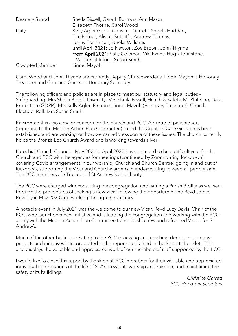| Deanery Synod   | Sheila Bissell, Gareth Burrows, Ann Mason,                                                     |
|-----------------|------------------------------------------------------------------------------------------------|
|                 | Elisabeth Thorne, Carol Wood                                                                   |
| Laity           | Kelly Agler Good, Christine Garrett, Angela Huddart,                                           |
|                 | Tim Retout, Alistair Sutcliffe, Andrew Thomas,                                                 |
|                 | Jenny Tomlinson, Nneka Williams                                                                |
|                 | until April 2021: Jo Newton, Zoe Brown, John Thynne                                            |
|                 | from April 2021: Sally Coleman, Viki Evans, Hugh Johnstone,<br>Valerie Littleford, Susan Smith |
| Co-opted Member | Lionel Mayoh                                                                                   |

Carol Wood and John Thynne are currently Deputy Churchwardens, Lionel Mayoh is Honorary Treasurer and Christine Garrett is Honorary Secretary.

The following officers and policies are in place to meet our statutory and legal duties – Safeguarding: Mrs Sheila Bissell, Diversity: Mrs Sheila Bissell, Health & Safety: Mr Phil Kino, Data Protection (GDPR): Mrs Kelly Agler, Finance: Lionel Mayoh (Honorary Treasurer), Church Electoral Roll: Mrs Susan Smith.

Environment is also a major concern for the church and PCC. A group of parishioners (reporting to the Mission Action Plan Committee) called the Creation Care Group has been established and are working on how we can address some of these issues. The church currently holds the Bronze Eco Church Award and is working towards silver.

Parochial Church Council – May 2021to April 2022 has continued to be a difficult year for the Church and PCC with the agendas for meetings (continued by Zoom during lockdown) covering Covid arrangements in our worship, Church and Church Centre, going in and out of lockdown, supporting the Vicar and Churchwardens in endeavouring to keep all people safe. The PCC members are Trustees of St Andrew's as a charity.

The PCC were charged with consulting the congregation and writing a Parish Profile as we went through the procedures of seeking a new Vicar following the departure of the Revd James Reveley in May 2020 and working through the vacancy.

A notable event in July 2021 was the welcome to our new Vicar, Revd Lucy Davis, Chair of the PCC, who launched a new initiative and is leading the congregation and working with the PCC along with the Mission Action Plan Committee to establish a new and refreshed Vision for St Andrew's.

Much of the other business relating to the PCC reviewing and reaching decisions on many projects and initiatives is incorporated in the reports contained in the Reports Booklet. This also displays the valuable and appreciated work of our members of staff supported by the PCC.

I would like to close this report by thanking all PCC members for their valuable and appreciated individual contributions of the life of St Andrew's, its worship and mission, and maintaining the safety of its buildings.

> *Christine Garrett PCC Honorary Secretary*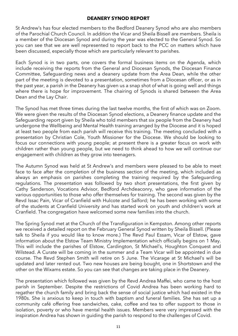#### **DEANERY SYNOD REPORT**

St Andrew's has four elected members to the Bedford Deanery Synod who are also members of the Parochial Church Council. In addition the Vicar and Sheila Bissell are members. Sheila is a member of the Diocesan Synod and during the year was elected to the General Synod. So you can see that we are well represented to report back to the PCC on matters which have been discussed, especially those which are particularly relevant to parishes.

Each Synod is in two parts, one covers the formal business items on the Agenda, which include receiving the reports from the General and Diocesan Synods, the Diocesan Finance Committee, Safeguarding news and a deanery update from the Area Dean, while the other part of the meeting is devoted to a presentation, sometimes from a Diocesan officer, or as in the past year, a parish in the Deanery has given us a snap shot of what is going well and things where there is hope for improvement. The chairing of Synods is shared between the Area Dean and the Lay Chair.

The Synod has met three times during the last twelve months, the first of which was on Zoom. We were given the results of the Diocesan Synod elections, a Deanery finance update and the Safeguarding report given by Sheila who told members that six people from the Deanery had undergone the Wellbeing and Mental Health training arranged by the Diocese and it is hoped at least two people from each parish will receive this training. The meeting concluded with a presentation by Christian Cole, Youth Missioner for the Diocese. We should be looking to focus our connections with young people; at present there is a greater focus on work with children rather than young people, but we need to think ahead to how we will continue our engagement with children as they grow into teenagers.

The Autumn Synod was held at St Andrew's and members were pleased to be able to meet face to face after the completion of the business section of the meeting, which included as always an emphasis on parishes completing the training required by the Safeguarding regulations. The presentation was followed by two short presentations, the first given by Cathy Sanderson, Vocations Advisor, Bedford Archdeaconry, who gave information of the various opportunities to those who offer themselves for training. The second was given by the Revd Issac Pain, Vicar of Cranfield with Hulcote and Salford; he has been working with some of the students at Cranfield University and has started work on youth and children's work at Cranfield. The congregation have welcomed some new families into the church.

The Spring Synod met at the Church of the Transfiguration in Kempston. Among other reports we received a detailed report on the February General Synod written by Sheila Bissell. (Please talk to Sheila if you would like to know more.) The Revd Paul Essam, Vicar of Elstow, gave information about the Elstow Team Ministry Implementation which officially begins on 1 May. This will include the parishes of Elstow, Cardington, St Michael's, Houghton Conquest and Wilstead. A Curate will be coming in the summer and a Team Vicar will be appointed in due course. The Revd Stephen Smith will retire on 5 June. The Vicarage at St Michael's will be updated and later rented out. Two new houses are being bought, one in Shortstown and the other on the Wixams estate. So you can see that changes are taking place in the Deanery.

The presentation which followed was given by the Revd Andrea Maffei, who came to the host parish in September. Despite the restrictions of Covid Andrea has been working hard to regather the church family and bring back the sense of social justice which had existed in the 1980s. She is anxious to keep in touch with baptism and funeral families. She has set up a community café offering free sandwiches, cake, coffee and tea to offer support to those in isolation, poverty or who have mental health issues. Members were very impressed with the inspiration Andrea has shown in guiding the parish to respond to the challenges of Covid.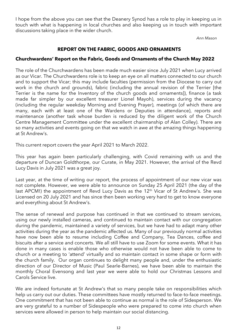I hope from the above you can see that the Deanery Synod has a role to play in keeping us in touch with what is happening in local churches and also keeping us in touch with important discussions taking place in the wider church.

*Ann Mason*

#### **REPORT ON THE FABRIC, GOODS AND ORNAMENTS**

#### **Churchwardens' Report on the Fabric, Goods and Ornaments of the Church May 2022**

The role of the Churchwardens has been made much easier since July 2021 when Lucy arrived as our Vicar. The Churchwardens role is to keep an eye on all matters connected to our church and to support the Vicar; this may include faculties (permission from the Diocese to carry out work in the church and grounds), fabric (including the annual revision of the Terrier [the Terrier is the name for the Inventory of the church goods and ornaments]), finance (a task made far simpler by our excellent treasurer Lionel Mayoh), services during the vacancy (including the regular weekday Morning and Evening Prayer), meetings (of which there are many, each with at least one of the Wardens or Deputies in attendance), reports and maintenance (another task whose burden is reduced by the diligent work of the Church Centre Management Committee under the excellent chairmanship of Alan Colley). There are so many activities and events going on that we watch in awe at the amazing things happening at St Andrew's.

This current report covers the year April 2021 to March 2022.

This year has again been particularly challenging, with Covid remaining with us and the departure of Duncan Goldthorpe, our Curate, in May 2021. However, the arrival of the Revd Lucy Davis in July 2021 was a great joy.

Last year, at the time of writing our report, the process of appointment of our new vicar was not complete. However, we were able to announce on Sunday 25 April 2021 (the day of the last APCM!) the appointment of Revd Lucy Davis as the 12<sup>th</sup> Vicar of St Andrew's. She was Licensed on 20 July 2021 and has since then been working very hard to get to know everyone and everything about St Andrew's.

The sense of renewal and purpose has continued in that we continued to stream services, using our newly installed cameras, and continued to maintain contact with our congregation during the pandemic, maintained a variety of services, but we have had to adapt many other activities during the year as the pandemic affected us. Many of our previously normal activities have now been able to resume including Coffee and Company, Tea Dances, coffee and biscuits after a service and concerts. We all still have to use Zoom for some events. What it has done in many cases is enable those who otherwise would not have been able to come to church or a meeting to 'attend' virtually and so maintain contact in some shape or form with the church family. Our organ continues to delight many people and, under the enthusiastic direction of our Director of Music (Paul Searle-Barnes), we have been able to maintain the monthly Choral Evensong and last year we were able to hold our Christmas Lessons and Carols Service live.

We are indeed fortunate at St Andrew's that so many people take on responsibilities which help us carry out our duties. These committees have mostly returned to face-to-face meetings. One commitment that has not been able to continue as normal is the role of Sidesperson. We are very grateful to a number of Sidespeople who were prepared to come into church when services were allowed in person to help maintain our social distancing.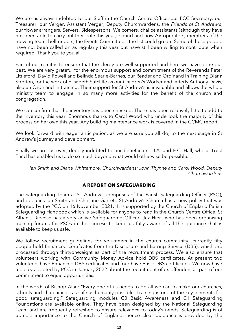We are as always indebted to our Staff in the Church Centre Office, our PCC Secretary, our Treasurer, our Verger, Assistant Verger, Deputy Churchwardens, the *Friends of St Andrew's*, our flower arrangers, Servers, Sidespersons, Welcomers, chalice assistants (although they have not been able to carry out their role this year), sound and now AV operators, members of the mowing team, bell-ringers, the Events Committee – the list could go on! Some of these people have not been called on as regularly this year but have still been willing to contribute when required. Thank you to you all.

Part of our remit is to ensure that the clergy are well supported and here we have done our best. We are very grateful for the enormous support and commitment of the Reverends Peter Littleford, David Powell and Belinda Searle-Barnes, our Reader and Ordinand in Training Diana Stretton, for the work of Elisabeth Sutcliffe as our Children's Worker and latterly Anthony Davis, also an Ordinand in training. Their support for St Andrew's is invaluable and allows the whole ministry team to engage in so many more activities for the benefit of the church and congregation.

We can confirm that the inventory has been checked. There has been relatively little to add to the inventory this year. Enormous thanks to Carol Wood who undertook the majority of this process on her own this year. Any building maintenance work is covered in the CCMC report.

We look forward with eager anticipation, as we are sure you all do, to the next stage in St Andrew's journey and development.

Finally we are, as ever, deeply indebted to our benefactors, J.A. and E.C. Hall, whose Trust Fund has enabled us to do so much beyond what would otherwise be possible.

*Ian Smith and Diana Whittemore, Churchwardens; John Thynne and Carol Wood, Deputy Churchwardens*

#### **A REPORT ON SAFEGUARDING**

The Safeguarding Team at St. Andrew's comprises of the Parish Safeguarding Officer (PSO), and deputies Ian Smith and Christine Garrett. St Andrew's Church has a new policy that was adopted by the PCC on 16 November 2021. It is supported by the Church of England Parish Safeguarding Handbook which is available for anyone to read in the Church Centre Office. St Alban's Diocese has a very active Safeguarding Officer, Jez Hirst, who has been organising training forums for PSOs in the diocese to keep us fully aware of all the guidance that is available to keep us safe.

We follow recruitment quidelines for volunteers in the church community; currently fifty people hold Enhanced certificates from the Disclosure and Barring Service (DBS), which are processed through thirtyone:eight as part of the recruitment process. We also ensure that volunteers working with Community Money Advice hold DBS certificates. At present two volunteers have Enhanced DBS certificates and four have Basic DBS certificates. We now have a policy adopted by PCC in January 2022 about the recruitment of ex-offenders as part of our commitment to equal opportunities.

In the words of Bishop Alan: "Every one of us needs to do all we can to make our churches, schools and chaplaincies as safe as humanly possible. Training is one of the key elements for good safeguarding." Safeguarding modules C0 Basic Awareness and C1 Safeguarding Foundations are available online. They have been designed by the National Safeguarding Team and are frequently refreshed to ensure relevance to today's needs. Safeguarding is of upmost importance to the Church of England, hence clear guidance is provided by the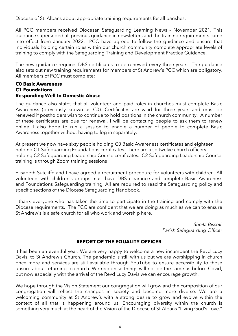Diocese of St. Albans about appropriate training requirements for all parishes.

All PCC members received Diocesan Safeguarding Learning News – November 2021. This guidance superseded all previous guidance in newsletters and the training requirements came into effect from January 2022. PCC have agreed to follow the guidance and ensure that individuals holding certain roles within our church community complete appropriate levels of training to comply with the Safeguarding Training and Development Practice Guidance.

The new guidance requires DBS certificates to be renewed every three years. The guidance also sets out new training requirements for members of St Andrew's PCC which are obligatory. All members of PCC must complete:

#### **C0 Basic Awareness C1 Foundations Responding Well to Domestic Abuse**

The guidance also states that all volunteer and paid roles in churches must complete Basic Awareness (previously known as C0). Certificates are valid for three years and must be renewed if postholders wish to continue to hold positions in the church community. A number of these certificates are due for renewal. I will be contacting people to ask them to renew online. I also hope to run a session to enable a number of people to complete Basic Awareness together without having to log in separately.

At present we now have sixty people holding C0 Basic Awareness certificates and eighteen holding C1 Safeguarding Foundations certificates. There are also twelve church officers holding C2 Safeguarding Leadership Course certificates. C2 Safeguarding Leadership Course training is through Zoom training sessions

Elisabeth Sutcliffe and I have agreed a recruitment procedure for volunteers with children. All volunteers with children's groups must have DBS clearance and complete Basic Awareness and Foundations Safeguarding training. All are required to read the Safeguarding policy and specific sections of the Diocese Safeguarding Handbook.

I thank everyone who has taken the time to participate in the training and comply with the Diocese requirements. The PCC are confident that we are doing as much as we can to ensure St Andrew's is a safe church for all who work and worship here.

> *Sheila Bissell Parish Safeguarding Officer*

#### **REPORT OF THE EQUALITY OFFICER**

It has been an eventful year. We are very happy to welcome a new incumbent the Revd Lucy Davis, to St Andrew's Church. The pandemic is still with us but we are worshipping in church once more and services are still available through YouTube to ensure accessibility to those unsure about returning to church. We recognise things will not be the same as before Covid, but now especially with the arrival of the Revd Lucy Davis we can encourage growth.

We hope through the Vision Statement our congregation will grow and the composition of our congregation will reflect the changes in society and become more diverse. We are a welcoming community at St Andrew's with a strong desire to grow and evolve within the context of all that is happening around us. Encouraging diversity within the church is something very much at the heart of the Vision of the Diocese of St Albans "Living God's Love."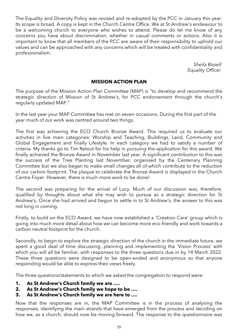The Equality and Diversity Policy was revised and re-adopted by the PCC in January this year. Its scope is broad. A copy is kept in the Church Centre Office. We at St Andrew's endeavour to be a welcoming church to everyone who wishes to attend. Please do let me know of any concerns you have about discrimination, whether in casual comments or actions. Also it is important to know that all members of the PCC are aware of their responsibility to uphold our values and can be approached with any concerns which will be treated with confidentiality and professionalism.

> *Sheila Bissell Equality Officer*

#### **MISSION ACTION PLAN**

The purpose of the Mission Action Plan Committee (MAP) is "to develop and recommend the strategic direction of Mission of St Andrew's, for PCC endorsement through the church's regularly updated MAP."

In the last year your MAP Committee has met on seven occasions. During the first part of the year much of our work was centred around two things.

The first was achieving the ECO Church Bronze Award. This required us to evaluate our activities in five main categories: Worship and Teaching, Buildings, Land, Community and Global Engagement and finally Lifestyle. In each category we had to satisfy a number of criteria. My thanks go to Tim Retout for his help in pursuing the application for this award. We finally achieved the Bronze Award in November last year. A significant contribution to this was the success of the Tree Planting last November, organised by the Centenary Planning Committee but we also began to make small changes all of which contribute to the reduction of our carbon footprint. The plaque to celebrate the Bronze Award is displayed in the Church Centre Foyer. However, there is much more work to be done!

The second was preparing for the arrival of Lucy. Much of our discussion was, therefore, qualified by thoughts about what she may wish to pursue as a strategic direction for St Andrew's. Once she had arrived and begun to settle in to St Andrew's, the answer to this was not long in coming.

Firstly, to build on the ECO Award, we have now established a 'Creation Care' group which is going into much more detail about how we can become more eco-friendly and work towards a carbon neutral footprint for the church.

Secondly, to begin to explore the strategic direction of the church in the immediate future, we spent a good deal of time discussing, planning and implementing the 'Vision Process' with which you will all be familiar, with responses to the three questions due in by 14 March 2022. These three questions were designed to be open-ended and anonymous so that anyone responding would be able to express their views freely.

The three questions/statements to which we asked the congregation to respond were:

- **1. As St Andrew's Church family we are ….**
- **2. As St Andrew's Church family we hope to be ….**
- **3. As St Andrew's Church family we are here to ….**

Now that the responses are in, the MAP Committee is in the process of analysing the responses, identifying the main strands that have emerged from the process and deciding on how we, as a church, should now be moving forward. The response to the questionnaire was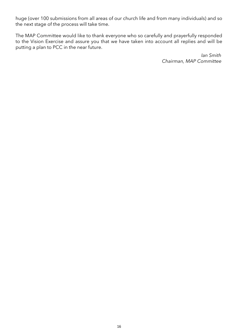huge (over 100 submissions from all areas of our church life and from many individuals) and so the next stage of the process will take time.

The MAP Committee would like to thank everyone who so carefully and prayerfully responded to the Vision Exercise and assure you that we have taken into account all replies and will be putting a plan to PCC in the near future.

> *Ian Smith Chairman, MAP Committee*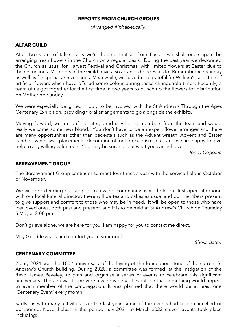#### **REPORTS FROM CHURCH GROUPS**

*(Arranged Alphabetically)*

#### **ALTAR GUILD**

After two years of false starts we're hoping that as from Easter, we shall once again be arranging fresh flowers in the Church on a regular basis. During the past year we decorated the Church as usual for Harvest Festival and Christmas, with limited flowers at Easter due to the restrictions. Members of the Guild have also arranged pedestals for Remembrance Sunday as well as for special anniversaries. Meanwhile, we have been grateful for William's selection of artificial flowers which have offered some colour during these changeable times. Recently, a team of us got together for the first time in two years to bunch up the flowers for distribution on Mothering Sunday.

We were especially delighted in July to be involved with the St Andrew's Through the Ages Centenary Exhibition, providing floral arrangements to go alongside the exhibits.

Moving forward, we are unfortunately gradually losing members from the team and would really welcome some new blood. You don't have to be an expert flower arranger and there are many opportunities other than pedestals such as the Advent wreath, Advent and Easter candles, windowsill placements, decoration of font for baptisms etc., and we are happy to give help to any willing volunteers. You may be surprised at what you can achieve!

*Jenny Coggins*

#### **BEREAVEMENT GROUP**

The Bereavement Group continues to meet four times a year with the service held in October or November.

We will be extending our support to a wider community as we hold our first open afternoon with our local funeral director; there will be tea and cakes as usual and our members present to give support and comfort to those who may be in need. It will be open to those who have lost loved ones, both past and present, and it is to be held at St Andrew's Church on Thursday 5 May at 2.00 pm.

Don't grieve alone, we are here for you, I am happy for you to contact me direct.

May God bless you and comfort you in your grief.

 *Sheila Bates*

#### **CENTENARY COMMITTEE**

2 July 2021 was the 100<sup>th</sup> anniversary of the laying of the foundation stone of the current St Andrew's Church building. During 2020, a committee was formed, at the instigation of the Revd James Reveley, to plan and organise a series of events to celebrate this significant anniversary. The aim was to provide a wide variety of events so that something would appeal to every member of the congregation. It was planned that there would be at least one 'Centenary Event' every month.

Sadly, as with many activities over the last year, some of the events had to be cancelled or postponed. Nevertheless in the period July 2021 to March 2022 eleven events took place including: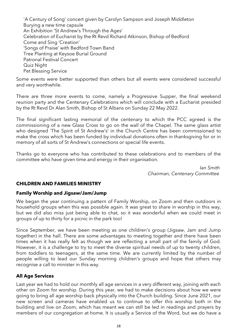'A Century of Song' concert given by Carolyn Sampson and Joseph Middleton Burying a new time capsule An Exhibition 'St Andrew's Through the Ages' Celebration of Eucharist by the Rt Revd Richard Atkinson, Bishop of Bedford Come and Sing 'Creation' 'Songs of Praise' with Bedford Town Band Tree Planting at Keysoe Burial Ground Patronal Festival Concert Quiz Night Pet Blessing Service

Some events were better supported than others but all events were considered successful and very worthwhile.

There are three more events to come, namely a Progressive Supper, the final weekend reunion party and the Centenary Celebrations which will conclude with a Eucharist presided by the Rt Revd Dr Alan Smith, Bishop of St Albans on Sunday 22 May 2022.

The final significant lasting memorial of the centenary to which the PCC agreed is the commissioning of a new Glass Cross to go on the wall of the Chapel. The same glass artist who designed 'The Spirit of St Andrew's' in the Church Centre has been commissioned to make the cross which has been funded by individual donations often in thanksgiving for or in memory of all sorts of St Andrew's connections or special life events.

Thanks go to everyone who has contributed to these celebrations and to members of the committee who have given time and energy in their organisation.

> *Ian Smith Chairman, Centenary Committee*

#### **CHILDREN AND FAMILIES MINISTRY**

#### **Family Worship and Jigsaw/Jam/Jump**

We began the year continuing a pattern of Family Worship, on Zoom and then outdoors in household groups when this was possible again. It was great to share in worship in this way, but we did also miss just being able to chat, so it was wonderful when we could meet in groups of up to thirty for a picnic in the park too!

Since September, we have been meeting as one children's group (Jigsaw, Jam and Jump together) in the hall. There are some advantages to meeting together and there have been times when it has really felt as though we are reflecting a small part of the family of God. However, it is a challenge to try to meet the diverse spiritual needs of up to twenty children, from toddlers to teenagers, at the same time. We are currently limited by the number of people willing to lead our Sunday morning children's groups and hope that others may recognise a call to minister in this way.

#### **All Age Services**

Last year we had to hold our monthly all age services in a very different way, joining with each other on Zoom for worship. During this year, we had to make decisions about how we were going to bring all age worship back physically into the Church building. Since June 2021, our new screen and cameras have enabled us to continue to offer this worship both in the building and live on Zoom, which has meant we can still be led in readings and prayers by members of our congregation at home. It is usually a Service of the Word, but we do have a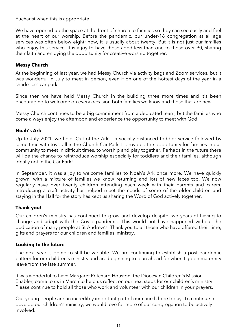Eucharist when this is appropriate.

We have opened up the space at the front of church to families so they can see easily and feel at the heart of our worship. Before the pandemic, our under-16 congregation at all age services was often below eight; now, it is usually about twenty. But it is not just our families who enjoy this service. It is a joy to have those aged less than one to those over 90, sharing their faith and enjoying the opportunity for creative worship together.

#### **Messy Church**

At the beginning of last year, we had Messy Church via activity bags and Zoom services, but it was wonderful in July to meet in person, even if on one of the hottest days of the year in a shade-less car park!

Since then we have held Messy Church in the building three more times and it's been encouraging to welcome on every occasion both families we know and those that are new.

Messy Church continues to be a big commitment from a dedicated team, but the families who come always enjoy the afternoon and experience the opportunity to meet with God.

#### **Noah's Ark**

Up to July 2021, we held 'Out of the Ark' - a socially-distanced toddler service followed by some time with toys, all in the Church Car Park. It provided the opportunity for families in our community to meet in difficult times, to worship and play together. Perhaps in the future there will be the chance to reintroduce worship especially for toddlers and their families, although ideally not in the Car Park!

In September, it was a joy to welcome families to Noah's Ark once more. We have quickly grown, with a mixture of families we know returning and lots of new faces too. We now regularly have over twenty children attending each week with their parents and carers. Introducing a craft activity has helped meet the needs of some of the older children and staying in the Hall for the story has kept us sharing the Word of God actively together.

#### **Thank you!**

Our children's ministry has continued to grow and develop despite two years of having to change and adapt with the Covid pandemic. This would not have happened without the dedication of many people at St Andrew's. Thank you to all those who have offered their time, gifts and prayers for our children and families' ministry.

#### **Looking to the future**

The next year is going to still be variable. We are continuing to establish a post-pandemic pattern for our children's ministry and are beginning to plan ahead for when I go on maternity leave from the late summer.

It was wonderful to have Margaret Pritchard Houston, the Diocesan Children's Mission Enabler, come to us in March to help us reflect on our next steps for our children's ministry. Please continue to hold all those who work and volunteer with our children in your prayers.

Our young people are an incredibly important part of our church here today. To continue to develop our children's ministry, we would love for more of our congregation to be actively involved.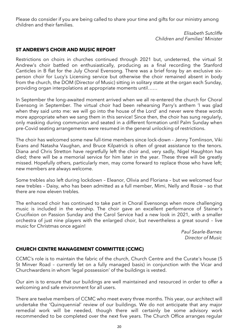Please do consider if you are being called to share your time and gifts for our ministry among children and their families.

> *Elisabeth Sutcliffe Children and Families' Minister*

#### **ST ANDREW'S CHOIR AND MUSIC REPORT**

Restrictions on choirs in churches continued through 2021 but, undeterred, the virtual St Andrew's choir battled on enthusiastically, producing as a final recording the Stanford Canticles in B flat for the July Choral Evensong. There was a brief foray by an exclusive sixperson choir for Lucy's Licensing service but otherwise the choir remained absent in body from the church, the DOM (Director of Music) sitting in solitary state at the organ each Sunday, providing organ interpolations at appropriate moments until……

In September the long-awaited moment arrived when we all re-entered the church for Choral Evensong in September. The virtual choir had been rehearsing Parry's anthem 'I was glad when they said unto me: we will go into the house of the Lord' and never were these words more appropriate when we sang them in this service! Since then, the choir has sung regularly, only masking during communion and seated in a different formation until Palm Sunday when pre-Covid seating arrangements were resumed in the general unlocking of restrictions.

The choir has welcomed some new full-time members since lock-down – Jenny Tomlinson, Viki Evans and Natasha Vaughan, and Bruce Kilpatrick is often of great assistance to the tenors. Diana and Chris Stretton have regretfully left the choir and, very sadly, Nigel Haughton has died; there will be a memorial service for him later in the year. These three will be greatly missed. Hopefully others, particularly men, may come forward to replace those who have left; new members are always welcome.

Some trebles also left during lockdown – Eleanor, Olivia and Floriana – but we welcomed four new trebles – Daisy, who has been admitted as a full member, Mimi, Nelly and Rosie – so that there are now eleven trebles.

The enhanced choir has continued to take part in Choral Evensongs when more challenging music is included in the worship. The choir gave an excellent performance of Stainer's Crucifixion on Passion Sunday and the Carol Service had a new look in 2021, with a smaller orchestra of just nine players with the enlarged choir, but nevertheless a great sound – live music for Christmas once again!

> *Paul Searle-Barnes Director of Music*

#### **CHURCH CENTRE MANAGEMENT COMMITTEE (CCMC)**

CCMC's role is to maintain the fabric of the church, Church Centre and the Curate's house (5 St Minver Road – currently let on a fully managed basis) in conjunction with the Vicar and Churchwardens in whom 'legal possession' of the buildings is vested.

Our aim is to ensure that our buildings are well maintained and resourced in order to offer a welcoming and safe environment for all users.

There are twelve members of CCMC who meet every three months. This year, our architect will undertake the 'Quinquennial' review of our buildings. We do not anticipate that any major remedial work will be needed, though there will certainly be some advisory work recommended to be completed over the next five years. The Church Office arranges regular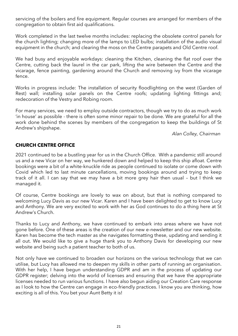servicing of the boilers and fire equipment. Regular courses are arranged for members of the congregation to obtain first aid qualifications.

Work completed in the last twelve months includes: replacing the obsolete control panels for the church lighting; changing more of the lamps to LED bulbs; installation of the audio visual equipment in the church; and clearing the moss on the Centre parapets and Old Centre roof.

We had busy and enjoyable workdays: cleaning the Kitchen, cleaning the flat roof over the Centre, cutting back the laurel in the car park, lifting the wire between the Centre and the vicarage, fence painting, gardening around the Church and removing ivy from the vicarage fence.

Works in progress include: The installation of security floodlighting on the west (Garden of Rest) wall; installing solar panels on the Centre roofs; updating lighting fittings and; redecoration of the Vestry and Robing room.

For many services, we need to employ outside contractors, though we try to do as much work 'in house' as possible - there is often some minor repair to be done. We are grateful for all the work done behind the scenes by members of the congregation to keep the buildings of St Andrew's shipshape.

 *Alan Colley, Chairman*

#### **CHURCH CENTRE OFFICE**

2021 continued to be a bustling year for us in the Church Office. With a pandemic still around us and a new Vicar on her way, we hunkered down and helped to keep this ship afloat. Centre bookings were a bit of a white-knuckle ride as people continued to isolate or come down with Covid which led to last minute cancellations, moving bookings around and trying to keep track of it all. I can say that we may have a bit more grey hair then usual – but I think we managed it.

Of course, Centre bookings are lovely to wax on about, but that is nothing compared to welcoming Lucy Davis as our new Vicar. Karen and I have been delighted to get to know Lucy and Anthony. We are very excited to work with her as God continues to do a thing here at St Andrew's Church.

Thanks to Lucy and Anthony, we have continued to embark into areas where we have not gone before. One of these areas is the creation of our new e-newsletter and our new website. Karen has become the tech master as she navigates formatting these, updating and sending it all out. We would like to give a huge thank you to Anthony Davis for developing our new website and being such a patient teacher to both of us.

Not only have we continued to broaden our horizons on the various technology that we can utilise, but Lucy has allowed me to deepen my skills in other parts of running an organisation. With her help, I have begun understanding GDPR and am in the process of updating our GDPR register; delving into the world of licenses and ensuring that we have the appropriate licenses needed to run various functions. I have also begun aiding our Creation Care response as I look to how the Centre can engage in eco-friendly practices. I know you are thinking, how exciting is all of this. You bet your Aunt Betty it is!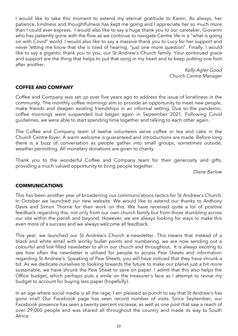I would like to take this moment to extend my eternal gratitude to Karen. As always, her patience, kindness and thoughtfulness has kept me going and I appreciate her so much more than I could ever express. I would also like to say a huge thank you to our caretaker, Giovanni who has patiently gone with the flow as we continue to navigate Centre life in a "what is going on with Covid" world. I would also like to say a massive thank you to Lucy for her support and never letting me know that she is tired of hearing, "just one more question". Finally, I would like to say a gigantic thank you to you, our St Andrew's Church family. Your continued grace and support are the thing that helps to put that song in my heart and to keep putting one foot after another.

> *Kelly Agler Good Church Centre Manager*

#### **COFFEE AND COMPANY**

Coffee and Company was set up over five years ago to address the issue of loneliness in the community. The monthly coffee mornings aim to provide an opportunity to meet new people, make friends and deepen existing friendships in an informal setting. Due to the pandemic, coffee mornings were suspended but began again in September 2021. Following Covid guidelines, we were able to start spending time together and talking to each other again.

The Coffee and Company team of twelve volunteers serve coffee or tea and cake in the Church Centre foyer. A warm welcome is guaranteed and introductions are made. Before long there is a buzz of conversation as people gather into small groups, sometimes outside, weather permitting. All monetary donations are given to charity.

Thank you to the wonderful Coffee and Company team for their generosity and gifts, providing a much valued opportunity to bring people together.

*Diane Barlow*

#### **COMMUNICATIONS**

This has been another year of broadening our communications tactics for St Andrew's Church. In October we launched our new website. We would like to extend our thanks to Anthony Davis and Simon Thorne for their work on this. We have received quite a lot of positive feedback regarding this, not only from our own church family but from those stumbling across our site within the parish and beyond. However, we are always looking for ways to make this even more of a success and we always welcome all feedback.

This year, we launched our St Andrew's Church e-newsletter. This means that instead of a black and white email with wonky bullet points and numbering, we are now sending out a colourful and link filled newsletter to all in our church and throughout. It is always exciting to see how often the newsletter is utilised for people to access Pew Sheets and information regarding St Andrew's. Speaking of Pew Sheets, you will have noticed that they have shrunk a bit. As we dedicate ourselves to looking towards the future to make our planet just a bit more sustainable, we have shrunk the Pew Sheet to save on paper. I admit that this also helps the Office budget, which perhaps puts a smile on the treasurer's face as I attempt to revise my budget to account for buying less paper (hopefully).

In an age where social media is all the rage, I am pleased as punch to say that St Andrew's has gone viral! Our Facebook page has seen record number of visits. Since September, our Facebook presence has seen a twenty percent increase, as well as one post that saw a reach of over 29,000 people and was shared all throughout the country and made its way to South Africa.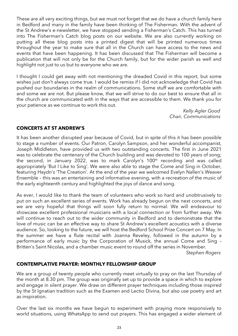These are all very exciting things, but we must not forget that we do have a church family here in Bedford and many in the family have been thinking of The Fisherman. With the advent of the St Andrew's e-newsletter, we have stopped sending a Fisherman's Catch. This has turned into The Fisherman's Catch blog posts on our website. We are also currently working on putting all these blog posts into a printed digest that will be printed numerous times throughout the year to make sure that all in the Church can have access to the news and events that have been happening. It has been discussed that The Fisherman will become a publication that will not only be for the Church family, but for the wider parish as well and highlight not just to us but to everyone who we are.

I thought I could get away with not mentioning the dreaded Covid in this report, but some wishes just don't always come true. I would be remiss if I did not acknowledge that Covid has pushed our boundaries in the realm of communications. Some stuff we are comfortable with and some we are not. But please know, that we will strive to do our best to ensure that all in the church are communicated with in the ways that are accessible to them. We thank you for your patience as we continue to work this out.

 *Kelly Agler Good Chair, Communications*

#### **CONCERTS AT ST ANDREW'S**

It has been another disrupted year because of Covid, but in spite of this it has been possible to stage a number of events. Our Patron, Carolyn Sampson, and her wonderful accompanist, Joseph Middleton, have provided us with two outstanding concerts. The first in June 2021 was to celebrate the centenary of the Church building and was devoted to 100 years of song; the second, in January 2022, was to mark Carolyn's 100<sup>th</sup> recording and was called appropriately 'But I Like to Sing'. We were also able to stage the Come and Sing in October, featuring Haydn's 'The Creation'. At the end of the year we welcomed Evelyn Nallen's Weaver Ensemble – this was an entertaining and informative evening, with a recreation of the music of the early eighteenth century and highlighted the joys of dance and song.

As ever, I would like to thank the team of volunteers who work so hard and unobtrusively to put on such an excellent series of events. Work has already begun on the next concerts, and we are very hopeful that things will soon fully return to normal. We will endeavour to showcase excellent professional musicians with a local connection or from further away. We will continue to reach out to the wider community in Bedford and to demonstrate that the love of music can be an effective way to share St Andrew's excellent acoustics with a diverse audience. So, looking to the future, we will host the Bedford School Prize Concert on 7 May. In the summer we have a flute recital with Joanna Reveley, followed in the autumn by a performance of early music by the Corporation of Musick, the annual Come and Sing – Britten's Saint Nicolas, and a chamber music event to round off the series in November.

*Stephen Rogers*

#### **CONTEMPLATIVE PRAYER: MONTHLY FELLOWSHIP GROUP**

We are a group of twenty people who currently meet virtually to pray on the last Thursday of the month at 8.30 pm. The group was originally set up to provide a space in which to explore and engage in silent prayer. We draw on different prayer techniques including those inspired by the St Ignatian tradition such as the Examen and Lectio Divina, but also use poetry and art as inspiration.

Over the last six months we have begun to experiment with praying more responsively to world situations, using WhatsApp to send out prayers. This has engaged a wider element of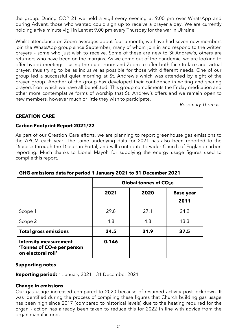the group. During COP 21 we held a vigil every evening at 9.00 pm over WhatsApp and during Advent, those who wanted could sign up to receive a prayer a day. We are currently holding a five minute vigil in Lent at 9.00 pm every Thursday for the war in Ukraine.

Whilst attendance on Zoom averages about four a month, we have had seven new members join the WhatsApp group since September, many of whom join in and respond to the written prayers – some who just wish to receive. Some of these are new to St Andrew's, others are returners who have been on the margins. As we come out of the pandemic, we are looking to offer hybrid meetings – using the quiet room and Zoom to offer both face-to-face and virtual prayer, thus trying to be as inclusive as possible for those with different needs. One of our group led a successful quiet morning at St. Andrew's which was attended by eight of the prayer group. Another of the group has developed their confidence in writing and sharing prayers from which we have all benefitted. This group compliments the Friday meditation and other more contemplative forms of worship that St. Andrew's offers and we remain open to new members, however much or little they wish to participate.

*Rosemary Thomas* 

#### **CREATION CARE**

#### **Carbon Footprint Report 2021/22**

As part of our Creation Care efforts, we are planning to report greenhouse gas emissions to the APCM each year. The same underlying data for 2021 has also been reported to the Diocese through the Diocesan Portal, and will contribute to wider Church of England carbon reporting. Much thanks to Lionel Mayoh for supplying the energy usage figures used to compile this report.

| GHG emissions data for period 1 January 2021 to 31 December 2021                              |                         |      |                          |
|-----------------------------------------------------------------------------------------------|-------------------------|------|--------------------------|
|                                                                                               | Global tonnes of $CO2e$ |      |                          |
|                                                                                               | 2021                    | 2020 | <b>Base year</b><br>2011 |
| Scope 1                                                                                       | 29.8                    | 27.1 | 24.2                     |
| Scope 2                                                                                       | 4.8                     | 4.8  | 13.3                     |
| <b>Total gross emissions</b>                                                                  | 34.5                    | 31.9 | 37.5                     |
| <b>Intensity measurement</b><br>'Tonnes of CO <sub>2</sub> e per person<br>on electoral roll' | 0.146                   |      |                          |

#### **Supporting notes**

**Reporting period:** 1 January 2021 – 31 December 2021

#### **Change in emissions**

Our gas usage increased compared to 2020 because of resumed activity post-lockdown. It was identified during the process of compiling these figures that Church building gas usage has been high since 2017 (compared to historical levels) due to the heating required for the organ - action has already been taken to reduce this for 2022 in line with advice from the organ manufacturer.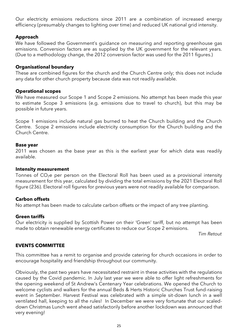Our electricity emissions reductions since 2011 are a combination of increased energy efficiency (presumably changes to lighting over time) and reduced UK national grid intensity.

#### **Approach**

We have followed the Government's guidance on measuring and reporting greenhouse gas emissions. Conversion factors are as supplied by the UK government for the relevant years. (Due to a methodology change, the 2012 conversion factor was used for the 2011 figures.)

#### **Organisational boundary**

These are combined figures for the church and the Church Centre only; this does not include any data for other church property because data was not readily available.

#### **Operational scopes**

We have measured our Scope 1 and Scope 2 emissions. No attempt has been made this year to estimate Scope 3 emissions (e.g. emissions due to travel to church), but this may be possible in future years.

Scope 1 emissions include natural gas burned to heat the Church building and the Church Centre. Scope 2 emissions include electricity consumption for the Church building and the Church Centre.

#### **Base year**

2011 was chosen as the base year as this is the earliest year for which data was readily available.

#### **Intensity measurement**

Tonnes of  $CO<sub>2</sub>e$  per person on the Electoral Roll has been used as a provisional intensity measurement for this year, calculated by dividing the total emissions by the 2021 Electoral Roll figure (236). Electoral roll figures for previous years were not readily available for comparison.

#### **Carbon offsets**

No attempt has been made to calculate carbon offsets or the impact of any tree planting.

#### **Green tariffs**

Our electricity is supplied by Scottish Power on their 'Green' tariff, but no attempt has been made to obtain renewable energy certificates to reduce our Scope 2 emissions.

*Tim Retout*

#### **EVENTS COMMITTEE**

This committee has a remit to organise and provide catering for church occasions in order to encourage hospitality and friendship throughout our community.

Obviously, the past two years have necessitated restraint in these activities with the regulations caused by the Covid pandemic. In July last year we were able to offer light refreshments for the opening weekend of St Andrew's Centenary Year celebrations. We opened the Church to welcome cyclists and walkers for the annual Beds & Herts Historic Churches Trust fund-raising event in September. Harvest Festival was celebrated with a simple sit-down lunch in a well ventilated hall, keeping to all the rules! In December we were very fortunate that our scaleddown Christmas Lunch went ahead satisfactorily before another lockdown was announced that very evening!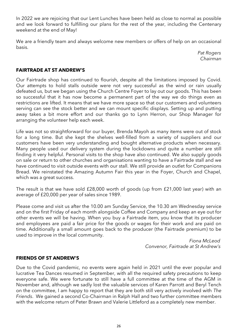In 2022 we are rejoicing that our Lent Lunches have been held as close to normal as possible and we look forward to fulfilling our plans for the rest of the year, including the Centenary weekend at the end of May!

We are a friendly team and always welcome new members or offers of help on an occasional basis.

> *Pat Rogers Chairman*

#### **FAIRTRADE AT ST ANDREW'S**

Our Fairtrade shop has continued to flourish, despite all the limitations imposed by Covid. Our attempts to hold stalls outside were not very successful as the wind or rain usually defeated us, but we began using the Church Centre Foyer to lay out our goods. This has been so successful that it has now become a permanent part of the way we do things even as restrictions are lifted. It means that we have more space so that our customers and volunteers serving can see the stock better and we can mount specific displays. Setting up and putting away takes a bit more effort and our thanks go to Lynn Herron, our Shop Manager for arranging the volunteer help each week.

Life was not so straightforward for our buyer, Brenda Mayoh as many items were out of stock for a long time. But she kept the shelves well-filled from a variety of suppliers and our customers have been very understanding and bought alternative products when necessary. Many people used our delivery system during the lockdowns and quite a number are still finding it very helpful. Personal visits to the shop have also continued. We also supply goods on sale or return to other churches and organisations wanting to have a Fairtrade stall and we have continued to visit outside events with our stall. We still provide an outlet for Companions Bread. We reinstated the Amazing Autumn Fair this year in the Foyer, Church and Chapel, which was a great success.

The result is that we have sold £28,000 worth of goods (up from £21,000 last year) with an average of £20,000 per year of sales since 1989.

Please come and visit us after the 10.00 am Sunday Service, the 10.30 am Wednesday service and on the first Friday of each month alongside Coffee and Company and keep an eye out for other events we will be having. When you buy a Fairtrade item, you know that its producer and employees are paid a fair price for the goods or wages for their work and are paid on time. Additionally a small amount goes back to the producer (the Fairtrade premium) to be used to improve in the local community.

> *Fiona McLeod Convenor, Fairtrade at St Andrew's*

#### **FRIENDS OF ST ANDREW'S**

Due to the Covid pandemic, no events were again held in 2021 until the ever popular and lucrative Tea Dances resumed in September, with all the required safety precautions to keep everyone safe. We were fortunate to still have a full committee at the time of the AGM in November and, although we sadly lost the valuable services of Karen Parrott and Beryl Tench on the committee, I am happy to report that they are both still very actively involved with *The Friends*. We gained a second Co-Chairman in Ralph Hall and two further committee members with the welcome return of Peter Brawn and Valerie Littleford as a completely new member.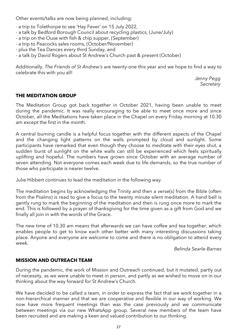Other events/talks are now being planned, including:

- a trip to Tolethorpe to see 'Hay Fever' on 15 July 2022,
- a talk by Bedford Borough Council about recycling plastics, (June/July)
- a trip on the Ouse with fish & chip supper, (September)
- a trip to Peacocks sales rooms, (October/November)
- plus the Tea Dances every third Sunday, and
- a talk by David Rogers about St Andrew's Church past & present (October)

Additionally, *The Friends of St Andrew's* are twenty-one this year and we hope to find a way to celebrate this with you all!

> *Jenny Pegg Secretary*

#### **THE MEDITATION GROUP**

The Meditation Group got back together in October 2021, having been unable to meet during the pandemic. It was really encouraging to be able to meet once more and since October, all the Meditations have taken place in the Chapel on every Friday morning at 10.30 am except the first in the month.

A central burning candle is a helpful focus together with the different aspects of the Chapel and the changing light patterns on the walls prompted by cloud and sunlight. Some participants have remarked that even though they choose to meditate with their eyes shut, a sudden burst of sunlight on the white walls can still be experienced which feels spiritually uplifting and hopeful. The numbers have grown since October with an average number of seven attending. Not everyone comes each week due to life demands, so the true number of those who participate is nearer twelve.

Julie Hibbert continues to lead the meditation in the following way.

The meditation begins by acknowledging the Trinity and then a verse(s) from the Bible (often from the Psalms) is read to give a focus to the twenty minute silent meditation. A hand bell is gently rung to mark the beginning of the meditation and then is rung once more to mark the end. This is followed by a prayer of thanksgiving for the time given as a gift from God and we finally all join in with the words of the Grace.

The new time of 10.30 am means that afterwards we can have coffee and tea together, which enables people to get to know each other better with many interesting discussions taking place. Anyone and everyone are welcome to come and there is no obligation to attend every week.

*Belinda Searle-Barnes*

#### **MISSION AND OUTREACH TEAM**

During the pandemic, the work of Mission and Outreach continued, but it mutated, partly out of necessity, as we were unable to meet in person, and partly as we wished to move on in our thinking about the way forward for St Andrew's Church.

We have decided to be called a team, in order to express the fact that we work together in a non-hierarchical manner and that we are cooperative and flexible in our way of working. We now have more frequent meetings than was the case previously and we communicate between meetings via our new WhatsApp group. Several new members of the team have been recruited and are making a keen and valued contribution to our thinking.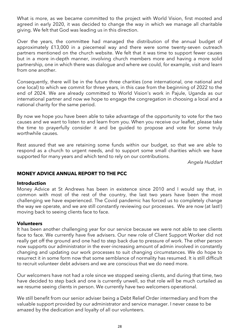What is more, as we became committed to the project with World Vision, first mooted and agreed in early 2020, it was decided to change the way in which we manage all charitable giving. We felt that God was leading us in this direction.

Over the years, the committee had managed the distribution of the annual budget of approximately £13,000 in a piecemeal way and there were some twenty-seven outreach partners mentioned on the church website. We felt that it was time to support fewer causes but in a more in-depth manner, involving church members more and having a more solid partnership, one in which there was dialogue and where we could, for example, visit and learn from one another.

Consequently, there will be in the future three charities (one international, one national and one local) to which we commit for three years, in this case from the beginning of 2022 to the end of 2024. We are already committed to World Vision's work in Pajule, Uganda as our international partner and now we hope to engage the congregation in choosing a local and a national charity for the same period.

By now we hope you have been able to take advantage of the opportunity to vote for the two causes and we want to listen to and learn from you. When you receive our leaflet, please take the time to prayerfully consider it and be guided to propose and vote for some truly worthwhile causes.

Rest assured that we are retaining some funds within our budget, so that we are able to respond as a church to urgent needs, and to support some small charities which we have supported for many years and which tend to rely on our contributions.

*Angela Huddart*

#### **MONEY ADVICE ANNUAL REPORT TO THE PCC**

#### **Introduction**

Money Advice at St Andrews has been in existence since 2010 and I would say that, in common with most of the rest of the country, the last two years have been the most challenging we have experienced. The Covid pandemic has forced us to completely change the way we operate, and we are still constantly reviewing our processes. We are now (at last!) moving back to seeing clients face to face.

#### **Volunteers**

It has been another challenging year for our service because we were not able to see clients face to face. We currently have five advisers. Our new role of Client Support Worker did not really get off the ground and one had to step back due to pressure of work. The other person now supports our administrator in the ever-increasing amount of admin involved in constantly changing and updating our work processes to suit changing circumstances. We do hope to resurrect it in some form now that some semblance of normality has resumed. It is still difficult to recruit volunteer debt advisers and we are conscious that we do need more.

Our welcomers have not had a role since we stopped seeing clients, and during that time, two have decided to step back and one is currently unwell, so that role will be much curtailed as we resume seeing clients in person. We currently have two welcomers operational.

We still benefit from our senior adviser being a Debt Relief Order intermediary and from the valuable support provided by our administrator and service manager. I never cease to be amazed by the dedication and loyalty of all our volunteers.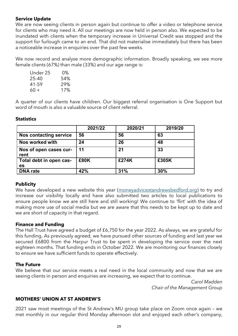#### **Service Update**

We are now seeing clients in person again but continue to offer a video or telephone service for clients who may need it. All our meetings are now held in person also. We expected to be inundated with clients when the temporary increase in Universal Credit was stopped and the support for furlough came to an end. That did not materialise immediately but there has been a noticeable increase in enquiries over the past few weeks.

We now record and analyse more demographic information. Broadly speaking, we see more female clients (67%) than male (33%) and our age range is:

| Under 25 | $0\%$ |
|----------|-------|
| 25-40    | 54%   |
| 41-59    | 29%   |
| 60 +     | 17%   |

A quarter of our clients have children. Our biggest referral organisation is One Support but word of mouth is also a valuable source of client referral.

#### **Statistics**

|                                | 2021/22 | 2020/21 | 2019/20 |
|--------------------------------|---------|---------|---------|
| <b>Nos contacting service</b>  | 56      | 56      | 63      |
| Nos worked with                | 24      | 26      | 48      |
| Nos of open cases cur-<br>rent | 11      | 21      | 33      |
| Total debt in open cas-        | £80K    | £274K   | £305K   |
| es                             |         |         |         |
| <b>DNA</b> rate                | 42%     | 31%     | 30%     |

#### **Publicity**

We have developed a new website this year ([moneyadvicestandrewsbedford.org\)](mailto:moneyadvice@standrewsbedford.org) to try and increase our visibility locally and have also submitted two articles to local publications to ensure people know we are still here and still working! We continue to 'flirt' with the idea of making more use of social media but we are aware that this needs to be kept up to date and we are short of capacity in that regard.

#### **Finance and Funding**

The Hall Trust have agreed a budget of £6,750 for the year 2022. As always, we are grateful for this funding. As previously agreed, we have pursued other sources of funding and last year we secured £6800 from the Harpur Trust to be spent in developing the service over the next eighteen months. That funding ends in October 2022. We are monitoring our finances closely to ensure we have sufficient funds to operate effectively.

#### **The Future**

We believe that our service meets a real need in the local community and now that we are seeing clients in person and enquiries are increasing, we expect that to continue.

> *Carol Madden Chair of the Management Group*

#### **MOTHERS' UNION AT ST ANDREW'S**

2021 saw most meetings of the St Andrew's MU group take place on Zoom once again – we met monthly in our regular third Monday afternoon slot and enjoyed each other's company,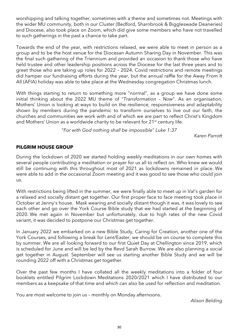worshipping and talking together, sometimes with a theme and sometimes not. Meetings with the wider MU community, both in our Cluster (Bedford, Sharnbrook & Biggleswade Deaneries) and Diocese, also took place on Zoom, which did give some members who have not travelled to such gatherings in the past a chance to take part.

Towards the end of the year, with restrictions relaxed, we were able to meet in person as a group and to be the host venue for the Diocesan Autumn Sharing Day in November. This was the final such gathering of the Triennium and provided an occasion to thank those who have held trustee and other leadership positions across the Diocese for the last three years and to greet those who are taking up roles for 2022 – 2024. Covid restrictions and remote meetings did hamper our fundraising efforts during the year, but the annual raffle for the Away From It All (AFIA) holiday was able to take place at the Wednesday congregation Christmas lunch.

With things starting to return to something more "normal", as a group we have done some initial thinking about the 2022 MU theme of "*Transformation – Now*". As an organisation, Mothers' Union is looking at ways to build on the resilience, responsiveness and adaptability shown by members during the pandemic to transform ourselves to live out our faith, the churches and communities we work with and of which we are part to reflect Christ's Kingdom and Mothers' Union as a worldwide charity to be relevant for 21<sup>st</sup> century life.

"*For with God nothing shall be impossible*" *Luke 1:37*

*Karen Parrott*

#### **PILGRIM HOUSE GROUP**

During the lockdown of 2020 we started holding weekly meditations in our own homes with several people contributing a meditation or prayer for us all to reflect on. Who knew we would still be continuing with this throughout most of 2021 as lockdowns remained in place. We were able to add in the occasional Zoom meeting and it was good to see those who could join us.

With restrictions being lifted in the summer, we were finally able to meet up in Val's garden for a relaxed and socially distant get together. Our first proper face to face meeting took place in October at Jenny's house. Mask wearing and socially distant though it was, it was lovely to see each other and go over the York Course Bible study that we had started at the beginning of 2020. We met again in November but unfortunately, due to high rates of the new Covid variant, it was decided to postpone our Christmas get together.

In January 2022 we embarked on a new Bible Study, Caring for Creation, another one of the York Courses, and following a break for Lent/Easter, we should be on course to complete this by summer. We are all looking forward to our first Quiet Day at Chellington since 2019, which is scheduled for June and will be led by the Revd Sarah Burrow. We are also planning a social get together in August. September will see us starting another Bible Study and we will be rounding 2022 off with a Christmas get together.

Over the past few months I have collated all the weekly meditations into a folder of four booklets entitled Pilgrim Lockdown Meditations 2020/2021 which I have distributed to our members as a keepsake of that time and which can also be used for reflection and meditation.

You are most welcome to join us – monthly on Monday afternoons.

*Alison Belding*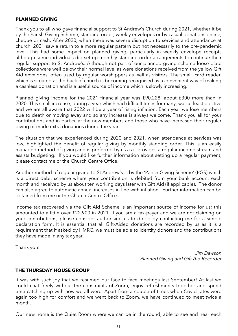#### **PLANNED GIVING**

Thank you to all who gave financial support to St Andrew's Church during 2021, whether it be by the Parish Giving Scheme, standing order, weekly envelopes or by casual donations online, cheque or cash. After 2020, when there was severe disruption to services and attendance at church, 2021 saw a return to a more regular pattern but not necessarily to the pre-pandemic level. This had some impact on planned giving, particularly in weekly envelope receipts although some individuals did set up monthly standing order arrangements to continue their regular support to St Andrew's. Although not part of our planned giving scheme loose plate collections were well below their normal level as were donations received from the yellow Gift Aid envelopes, often used by regular worshippers as well as visitors. The small 'card reader' which is situated at the back of church is becoming recognised as a convenient way of making a cashless donation and is a useful source of income which is slowly increasing.

Planned giving income for the 2021 financial year was £90,228, about £300 more than in 2020. This small increase, during a year which had difficult times for many, was at least positive and we are all aware that 2022 will be a year of rising inflation. Each year we lose members due to death or moving away and so any increase is always welcome. Thank you all for your contributions and in particular the new members and those who have increased their regular giving or made extra donations during the year.

The situation that we experienced during 2020 and 2021, when attendance at services was low, highlighted the benefit of regular giving by monthly standing order. This is an easily managed method of giving and is preferred by us as it provides a regular income stream and assists budgeting. If you would like further information about setting up a regular payment, please contact me or the Church Centre Office.

Another method of regular giving to St Andrew's is by the 'Parish Giving Scheme' (PGS) which is a direct debit scheme where your contribution is debited from your bank account each month and received by us about ten working days later with Gift Aid (if applicable). The donor can also agree to automatic annual increases in line with inflation. Further information can be obtained from me or the Church Centre Office.

Income tax recovered via the Gift Aid Scheme is an important source of income for us; this amounted to a little over £22,900 in 2021. If you are a tax-payer and we are not claiming on your contributions, please consider authorising us to do so by contacting me for a simple declaration form. It is essential that all Gift-Aided donations are recorded by us as it is a requirement that if asked by HMRC, we must be able to identify donors and the contributions they have made in any tax year.

Thank you!

*Jim Dawson Planned Giving and Gift Aid Recorder*

#### **THE THURSDAY HOUSE GROUP**

It was with such joy that we resumed our face to face meetings last September! At last we could chat freely without the constraints of Zoom, enjoy refreshments together and spend time catching up with how we all were. Apart from a couple of times when Covid rates were again too high for comfort and we went back to Zoom, we have continued to meet twice a month.

Our new home is the Quiet Room where we can be in the round, able to see and hear each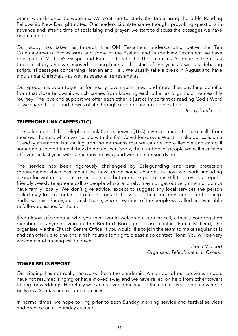other, with distance between us. We continue to study the Bible using the Bible Reading Fellowship New Daylight notes. Our leaders circulate some thought provoking questions in advance and, after a time of socialising and prayer, we start to discuss the passages we have been reading.

Our study has taken us through the Old Testament understanding better the Ten Commandments, Ecclesiastes and some of the Psalms, and in the New Testament we have read part of Mathew's Gospel and Paul's letters to the Thessalonians. Sometimes there is a topic to study and we enjoyed looking back at the start of the year as well as debating scriptural passages concerning Heaven and Hell. We usually take a break in August and have a quiz near Christmas – as well as seasonal refreshments.

Our group has been together for nearly seven years now, and more than anything benefits from that close fellowship which comes from knowing each other as pilgrims on our earthly journey. The love and support we offer each other is just as important as reading God's Word as we share the ups and downs of life through scripture and in conversation.

*Jenny Tomlinson*

#### **TELEPHONE LINK CARERS (TLC)**

The volunteers of the Telephone Link Carers Service (TLC) have continued to make calls from their own homes, which we started with the first Covid lockdown. We still make our calls on a Tuesday afternoon, but calling from home means that we can be more flexible and can call someone a second time if they do not answer. Sadly, the numbers of people we call has fallen off over the last year, with some moving away and with one person dying.

The service has been rigorously challenged by Safeguarding and data protection requirements which has meant we have made some changes in how we work, including asking for written consent to receive calls, but our core purpose is still to provide a regular friendly weekly telephone call to people who are lonely, may not get out very much or do not have family locally. We don't give advice, except to suggest any local services the person called may like to contact or offer to contact the Vicar if their concerns needs further help. Sadly, we miss Sandy, our Parish Nurse, who knew most of the people we called and was able to follow up issues for them.

If you know of someone who you think would welcome a regular call, either a congregation member or anyone living in the Bedford Borough, please contact Fiona McLeod, the organiser, via the Church Centre Office. If you would like to join the team to make regular calls and can offer up to one and a half hours a fortnight, please also contact Fiona. You will be very welcome and training will be given.

> *Fiona McLeod Organiser, Telephone Link Carers*.

#### **TOWER BELLS REPORT**

Our ringing has not really recovered from the pandemic. A number of our previous ringers have not resumed ringing or have moved away and we have relied on help from other towers to ring for weddings. Hopefully we can recover somewhat in the coming year, ring a few more bells on a Sunday and resume practices.

In normal times, we hope to ring prior to each Sunday morning service and festival services and practice on a Thursday evening.